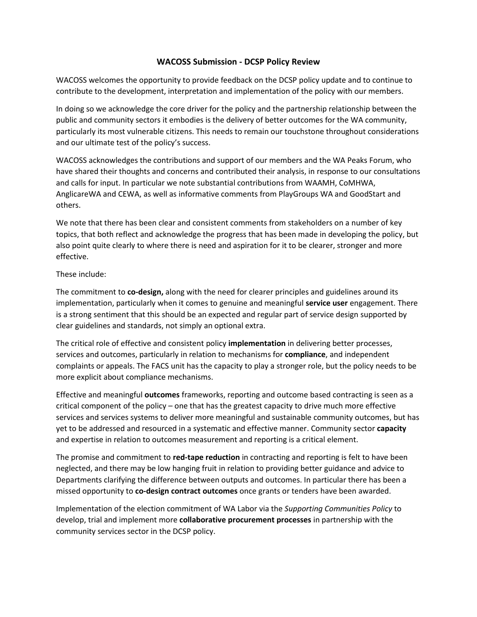# **WACOSS Submission - DCSP Policy Review**

WACOSS welcomes the opportunity to provide feedback on the DCSP policy update and to continue to contribute to the development, interpretation and implementation of the policy with our members.

In doing so we acknowledge the core driver for the policy and the partnership relationship between the public and community sectors it embodies is the delivery of better outcomes for the WA community, particularly its most vulnerable citizens. This needs to remain our touchstone throughout considerations and our ultimate test of the policy's success.

WACOSS acknowledges the contributions and support of our members and the WA Peaks Forum, who have shared their thoughts and concerns and contributed their analysis, in response to our consultations and calls for input. In particular we note substantial contributions from WAAMH, CoMHWA, AnglicareWA and CEWA, as well as informative comments from PlayGroups WA and GoodStart and others.

We note that there has been clear and consistent comments from stakeholders on a number of key topics, that both reflect and acknowledge the progress that has been made in developing the policy, but also point quite clearly to where there is need and aspiration for it to be clearer, stronger and more effective.

## These include:

The commitment to **co-design,** along with the need for clearer principles and guidelines around its implementation, particularly when it comes to genuine and meaningful **service user** engagement. There is a strong sentiment that this should be an expected and regular part of service design supported by clear guidelines and standards, not simply an optional extra.

The critical role of effective and consistent policy **implementation** in delivering better processes, services and outcomes, particularly in relation to mechanisms for **compliance**, and independent complaints or appeals. The FACS unit has the capacity to play a stronger role, but the policy needs to be more explicit about compliance mechanisms.

Effective and meaningful **outcomes** frameworks, reporting and outcome based contracting is seen as a critical component of the policy – one that has the greatest capacity to drive much more effective services and services systems to deliver more meaningful and sustainable community outcomes, but has yet to be addressed and resourced in a systematic and effective manner. Community sector **capacity** and expertise in relation to outcomes measurement and reporting is a critical element.

The promise and commitment to **red-tape reduction** in contracting and reporting is felt to have been neglected, and there may be low hanging fruit in relation to providing better guidance and advice to Departments clarifying the difference between outputs and outcomes. In particular there has been a missed opportunity to **co-design contract outcomes** once grants or tenders have been awarded.

Implementation of the election commitment of WA Labor via the *Supporting Communities Policy* to develop, trial and implement more **collaborative procurement processes** in partnership with the community services sector in the DCSP policy.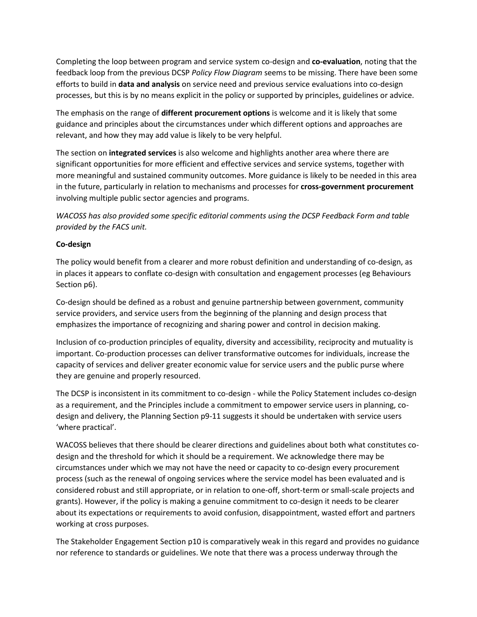Completing the loop between program and service system co-design and **co-evaluation**, noting that the feedback loop from the previous DCSP *Policy Flow Diagram* seems to be missing. There have been some efforts to build in **data and analysis** on service need and previous service evaluations into co-design processes, but this is by no means explicit in the policy or supported by principles, guidelines or advice.

The emphasis on the range of **different procurement options** is welcome and it is likely that some guidance and principles about the circumstances under which different options and approaches are relevant, and how they may add value is likely to be very helpful.

The section on **integrated services** is also welcome and highlights another area where there are significant opportunities for more efficient and effective services and service systems, together with more meaningful and sustained community outcomes. More guidance is likely to be needed in this area in the future, particularly in relation to mechanisms and processes for **cross-government procurement** involving multiple public sector agencies and programs.

*WACOSS has also provided some specific editorial comments using the DCSP Feedback Form and table provided by the FACS unit.*

## **Co-design**

The policy would benefit from a clearer and more robust definition and understanding of co-design, as in places it appears to conflate co-design with consultation and engagement processes (eg Behaviours Section p6).

Co-design should be defined as a robust and genuine partnership between government, community service providers, and service users from the beginning of the planning and design process that emphasizes the importance of recognizing and sharing power and control in decision making.

Inclusion of co-production principles of equality, diversity and accessibility, reciprocity and mutuality is important. Co-production processes can deliver transformative outcomes for individuals, increase the capacity of services and deliver greater economic value for service users and the public purse where they are genuine and properly resourced.

The DCSP is inconsistent in its commitment to co-design - while the Policy Statement includes co-design as a requirement, and the Principles include a commitment to empower service users in planning, codesign and delivery, the Planning Section p9-11 suggests it should be undertaken with service users 'where practical'.

WACOSS believes that there should be clearer directions and guidelines about both what constitutes codesign and the threshold for which it should be a requirement. We acknowledge there may be circumstances under which we may not have the need or capacity to co-design every procurement process (such as the renewal of ongoing services where the service model has been evaluated and is considered robust and still appropriate, or in relation to one-off, short-term or small-scale projects and grants). However, if the policy is making a genuine commitment to co-design it needs to be clearer about its expectations or requirements to avoid confusion, disappointment, wasted effort and partners working at cross purposes.

The Stakeholder Engagement Section p10 is comparatively weak in this regard and provides no guidance nor reference to standards or guidelines. We note that there was a process underway through the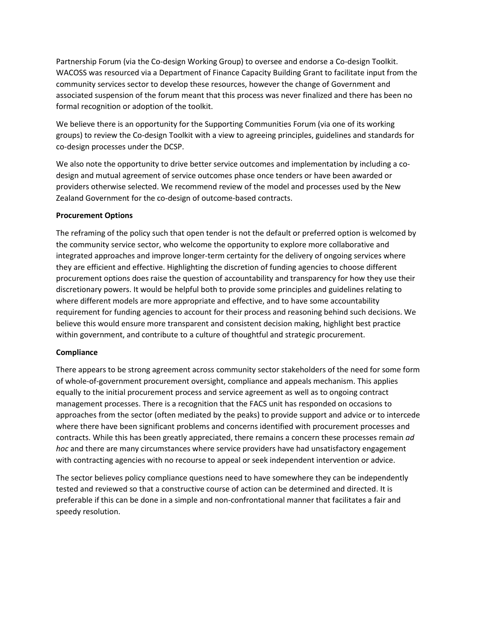Partnership Forum (via the Co-design Working Group) to oversee and endorse a Co-design Toolkit. WACOSS was resourced via a Department of Finance Capacity Building Grant to facilitate input from the community services sector to develop these resources, however the change of Government and associated suspension of the forum meant that this process was never finalized and there has been no formal recognition or adoption of the toolkit.

We believe there is an opportunity for the Supporting Communities Forum (via one of its working groups) to review the Co-design Toolkit with a view to agreeing principles, guidelines and standards for co-design processes under the DCSP.

We also note the opportunity to drive better service outcomes and implementation by including a codesign and mutual agreement of service outcomes phase once tenders or have been awarded or providers otherwise selected. We recommend review of the model and processes used by the New Zealand Government for the co-design of outcome-based contracts.

#### **Procurement Options**

The reframing of the policy such that open tender is not the default or preferred option is welcomed by the community service sector, who welcome the opportunity to explore more collaborative and integrated approaches and improve longer-term certainty for the delivery of ongoing services where they are efficient and effective. Highlighting the discretion of funding agencies to choose different procurement options does raise the question of accountability and transparency for how they use their discretionary powers. It would be helpful both to provide some principles and guidelines relating to where different models are more appropriate and effective, and to have some accountability requirement for funding agencies to account for their process and reasoning behind such decisions. We believe this would ensure more transparent and consistent decision making, highlight best practice within government, and contribute to a culture of thoughtful and strategic procurement.

#### **Compliance**

There appears to be strong agreement across community sector stakeholders of the need for some form of whole-of-government procurement oversight, compliance and appeals mechanism. This applies equally to the initial procurement process and service agreement as well as to ongoing contract management processes. There is a recognition that the FACS unit has responded on occasions to approaches from the sector (often mediated by the peaks) to provide support and advice or to intercede where there have been significant problems and concerns identified with procurement processes and contracts. While this has been greatly appreciated, there remains a concern these processes remain *ad hoc* and there are many circumstances where service providers have had unsatisfactory engagement with contracting agencies with no recourse to appeal or seek independent intervention or advice.

The sector believes policy compliance questions need to have somewhere they can be independently tested and reviewed so that a constructive course of action can be determined and directed. It is preferable if this can be done in a simple and non-confrontational manner that facilitates a fair and speedy resolution.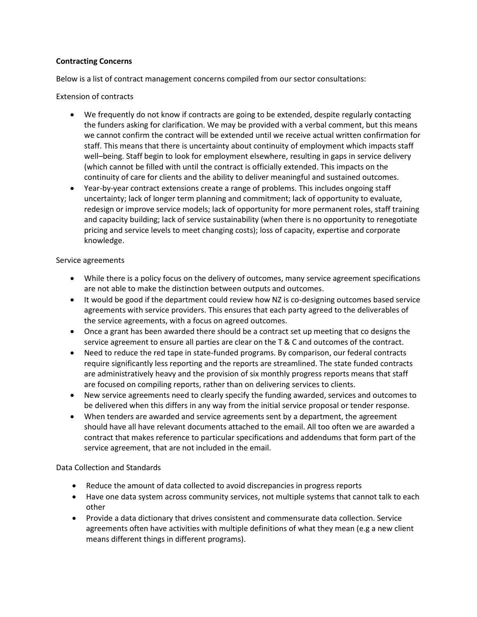### **Contracting Concerns**

Below is a list of contract management concerns compiled from our sector consultations:

### Extension of contracts

- We frequently do not know if contracts are going to be extended, despite regularly contacting the funders asking for clarification. We may be provided with a verbal comment, but this means we cannot confirm the contract will be extended until we receive actual written confirmation for staff. This means that there is uncertainty about continuity of employment which impacts staff well–being. Staff begin to look for employment elsewhere, resulting in gaps in service delivery (which cannot be filled with until the contract is officially extended. This impacts on the continuity of care for clients and the ability to deliver meaningful and sustained outcomes.
- Year-by-year contract extensions create a range of problems. This includes ongoing staff uncertainty; lack of longer term planning and commitment; lack of opportunity to evaluate, redesign or improve service models; lack of opportunity for more permanent roles, staff training and capacity building; lack of service sustainability (when there is no opportunity to renegotiate pricing and service levels to meet changing costs); loss of capacity, expertise and corporate knowledge.

#### Service agreements

- While there is a policy focus on the delivery of outcomes, many service agreement specifications are not able to make the distinction between outputs and outcomes.
- It would be good if the department could review how NZ is co-designing outcomes based service agreements with service providers. This ensures that each party agreed to the deliverables of the service agreements, with a focus on agreed outcomes.
- Once a grant has been awarded there should be a contract set up meeting that co designs the service agreement to ensure all parties are clear on the T & C and outcomes of the contract.
- Need to reduce the red tape in state-funded programs. By comparison, our federal contracts require significantly less reporting and the reports are streamlined. The state funded contracts are administratively heavy and the provision of six monthly progress reports means that staff are focused on compiling reports, rather than on delivering services to clients.
- New service agreements need to clearly specify the funding awarded, services and outcomes to be delivered when this differs in any way from the initial service proposal or tender response.
- When tenders are awarded and service agreements sent by a department, the agreement should have all have relevant documents attached to the email. All too often we are awarded a contract that makes reference to particular specifications and addendums that form part of the service agreement, that are not included in the email.

#### Data Collection and Standards

- Reduce the amount of data collected to avoid discrepancies in progress reports
- Have one data system across community services, not multiple systems that cannot talk to each other
- Provide a data dictionary that drives consistent and commensurate data collection. Service agreements often have activities with multiple definitions of what they mean (e.g a new client means different things in different programs).